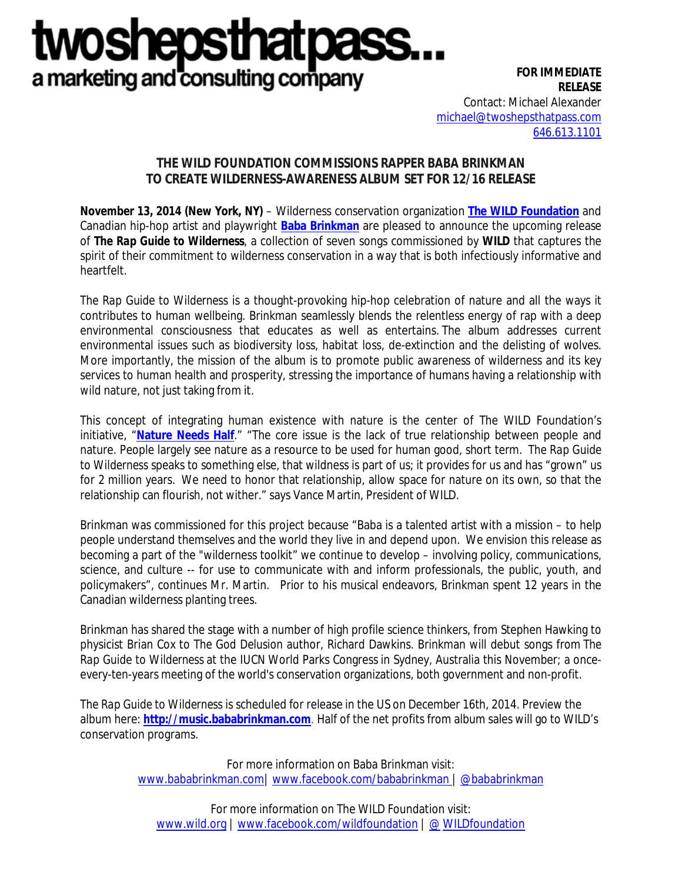# **TWOS** epsu a marketing and consulting company

**FOR IMMEDIATE RELEASE** Contact: Michael Alexander [michael@twoshepsthatpass.com](mailto:michael@twoshepsthatpass.com) 646.613.1101

## **THE WILD FOUNDATION COMMISSIONS RAPPER BABA BRINKMAN TO CREATE WILDERNESS-AWARENESS ALBUM SET FOR 12/16 RELEASE**

**November 13, 2014 (New York, NY)** – Wilderness conservation organization **[The WILD Foundation](http://www.wild.org/)** and Canadian hip-hop artist and playwright **[Baba Brinkman](http://www.bababrinkman.com/)** are pleased to announce the upcoming release of *The Rap Guide to Wilderness*, a collection of seven songs commissioned by **WILD** that captures the spirit of their commitment to wilderness conservation in a way that is both infectiously informative and heartfelt.

*The Rap Guide to Wilderness* is a thought-provoking hip-hop celebration of nature and all the ways it contributes to human wellbeing. Brinkman seamlessly blends the relentless energy of rap with a deep environmental consciousness that educates as well as entertains. The album addresses current environmental issues such as biodiversity loss, habitat loss, de-extinction and the delisting of wolves. More importantly, the mission of the album is to promote public awareness of wilderness and its key services to human health and prosperity, stressing the importance of humans having a relationship with wild nature, not just taking from it.

This concept of integrating human existence with nature is the center of The WILD Foundation's initiative, "**[Nature Needs Half](http://www.wild.org/nature-needs-half/)**." "The core issue is the lack of true relationship between people and nature. People largely see nature as a resource to be used for human good, short term. *The Rap Guide to Wilderness* speaks to something else, that wildness is part of us; it provides for us and has "grown" us for 2 million years. We need to honor that relationship, allow space for nature on its own, so that the relationship can flourish, not wither." says Vance Martin, President of WILD.

Brinkman was commissioned for this project because "Baba is a talented artist with a mission – to help people understand themselves and the world they live in and depend upon. We envision this release as becoming a part of the "wilderness toolkit" we continue to develop – involving policy, communications, science, and culture -- for use to communicate with and inform professionals, the public, youth, and policymakers", continues Mr. Martin. Prior to his musical endeavors, Brinkman spent 12 years in the Canadian wilderness planting trees.

Brinkman has shared the stage with a number of high profile science thinkers, from Stephen Hawking to physicist Brian Cox to *The God Delusion* author, Richard Dawkins. Brinkman will debut songs from *The Rap Guide to Wilderness* at the IUCN [World Parks Congress](http://worldparkscongress.org/) in Sydney, Australia this November; a onceevery-ten-years meeting of the world's conservation organizations, both government and non-profit.

*The Rap Guide to Wilderness* is scheduled for release in the US on December 16th, 2014. Preview the album here: **[http://music.bababrinkman.com](http://music.bababrinkman.com/)**. Half of the net profits from album sales will go to WILD's conservation programs.

> For more information on Baba Brinkman visit: [www.bababrinkman.com|](http://www.bababrinkman.com/) [www.facebook.com/bababrinkman](https://www.facebook.com/bababrinkman) | [@bababrinkman](https://twitter.com/bababrinkman)

For more information on The WILD Foundation visit: [www.wild.org](http://www.wild.org/) | [www.facebook.com/wildfoundation](http://www.facebook.com/wildfoundation) | @ [WILDfoundation](https://twitter.com/bababrinkman)